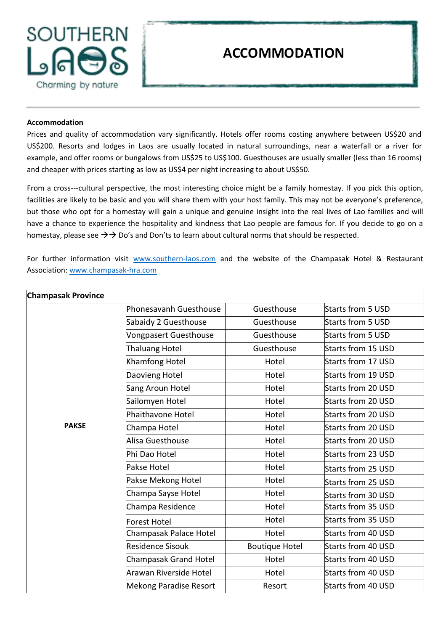

## **ACCOMMODATION**

## **Accommodation**

Prices and quality of accommodation vary significantly. Hotels offer rooms costing anywhere between US\$20 and US\$200. Resorts and lodges in Laos are usually located in natural surroundings, near a waterfall or a river for example, and offer rooms or bungalows from US\$25 to US\$100. Guesthouses are usually smaller (less than 16 rooms) and cheaper with prices starting as low as US\$4 per night increasing to about US\$50.

From a cross---cultural perspective, the most interesting choice might be a family homestay. If you pick this option, facilities are likely to be basic and you will share them with your host family. This may not be everyone's preference, but those who opt for a homestay will gain a unique and genuine insight into the real lives of Lao families and will have a chance to experience the hospitality and kindness that Lao people are famous for. If you decide to go on a homestay, please see  $\rightarrow$   $\rightarrow$  Do's and Don'ts to learn about cultural norms that should be respected.

For further information visit www.southern-laos.com and the website of the Champasak Hotel & Restaurant Association[: www.champasak-hra.com](http://www.champasak-hra.com/)

| <b>Champasak Province</b> |                               |                       |                    |
|---------------------------|-------------------------------|-----------------------|--------------------|
|                           | <b>Phonesavanh Guesthouse</b> | Guesthouse            | Starts from 5 USD  |
|                           | Sabaidy 2 Guesthouse          | Guesthouse            | Starts from 5 USD  |
|                           | Vongpasert Guesthouse         | Guesthouse            | Starts from 5 USD  |
|                           | Thaluang Hotel                | Guesthouse            | Starts from 15 USD |
|                           | Khamfong Hotel                | Hotel                 | Starts from 17 USD |
|                           | Daovieng Hotel                | Hotel                 | Starts from 19 USD |
|                           | Sang Aroun Hotel              | Hotel                 | Starts from 20 USD |
|                           | Sailomyen Hotel               | Hotel                 | Starts from 20 USD |
|                           | Phaithavone Hotel             | Hotel                 | Starts from 20 USD |
| <b>PAKSE</b>              | Champa Hotel                  | Hotel                 | Starts from 20 USD |
|                           | Alisa Guesthouse              | Hotel                 | Starts from 20 USD |
|                           | Phi Dao Hotel                 | Hotel                 | Starts from 23 USD |
|                           | Pakse Hotel                   | Hotel                 | Starts from 25 USD |
|                           | Pakse Mekong Hotel            | Hotel                 | Starts from 25 USD |
|                           | Champa Sayse Hotel            | Hotel                 | Starts from 30 USD |
|                           | Champa Residence              | Hotel                 | Starts from 35 USD |
|                           | Forest Hotel                  | Hotel                 | Starts from 35 USD |
|                           | Champasak Palace Hotel        | Hotel                 | Starts from 40 USD |
|                           | Residence Sisouk              | <b>Boutique Hotel</b> | Starts from 40 USD |
|                           | Champasak Grand Hotel         | Hotel                 | Starts from 40 USD |
|                           | Arawan Riverside Hotel        | Hotel                 | Starts from 40 USD |
|                           | Mekong Paradise Resort        | Resort                | Starts from 40 USD |